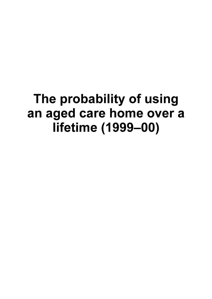# The probability of using an aged care home over a lifetime (1999-00)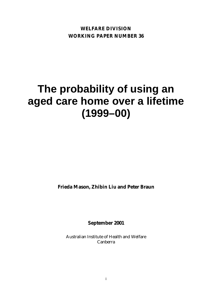**WELFARE DIVISION WORKING PAPER NUMBER 36**

# **The probability of using an aged care home over a lifetime (1999–00)**

**Frieda Mason, Zhibin Liu and Peter Braun**

**September 2001**

Australian Institute of Health and Welfare Canberra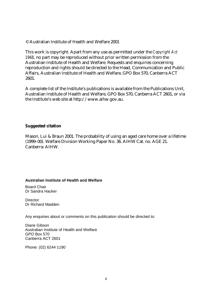© Australian Institute of Health and Welfare 2001

This work is copyright. Apart from any use as permitted under the *Copyright Act 1968*, no part may be reproduced without prior written permission from the Australian Institute of Health and Welfare. Requests and enquiries concerning reproduction and rights should be directed to the Head, Communication and Public Affairs, Australian Institute of Health and Welfare, GPO Box 570, Canberra ACT 2601.

A complete list of the Institute's publications is available from the Publications Unit, Australian Institute of Health and Welfare, GPO Box 570, Canberra ACT 2601, or via the Institute's web site at http://www.aihw.gov.au.

#### **Suggested citation**

Mason, Lui & Braun 2001. The probability of using an aged care home over a lifetime (1999–00). Welfare Division Working Paper No. 36. AIHW Cat. no. AGE 21. Canberra: AIHW.

#### **Australian Institute of Health and Welfare**

Board Chair Dr Sandra Hacker

**Director** Dr Richard Madden

Any enquiries about or comments on this publication should be directed to:

Diane Gibson Australian Institute of Health and Welfare GPO Box 570 Canberra ACT 2601

Phone: (02) 6244 1190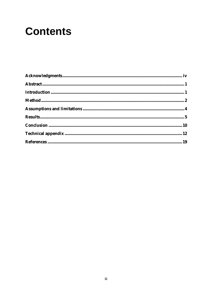# **Contents**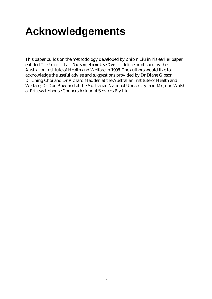# **Acknowledgements**

This paper builds on the methodology developed by Zhibin Liu in his earlier paper entitled *The Probability of Nursing Home Use Over a Lifetime* published by the Australian Institute of Health and Welfare in 1998. The authors would like to acknowledge the useful advise and suggestions provided by Dr Diane Gibson, Dr Ching Choi and Dr Richard Madden at the Australian Institute of Health and Welfare, Dr Don Rowland at the Australian National University, and Mr John Walsh at Pricewaterhouse Coopers Actuarial Services Pty Ltd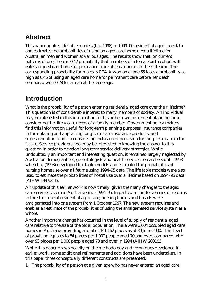## **Abstract**

This paper applies life table models (Liu 1998) to 1999–00 residential aged care data and estimates the probabilities of using an aged care home over a lifetime for Australian men and women at various ages. The results show that, on current patterns of use, there is 0.42 probability that members of a female birth cohort will enter an aged care home for permanent care at least once over their lifetime. The corresponding probability for males is 0.24. A woman at age 65 faces a probability as high as 0.46 of using an aged care home for permanent care before her death compared with 0.28 for a man at the same age.

## **Introduction**

What is the probability of a person entering residential aged care over their lifetime? This question is of considerable interest to many members of society. An individual may be interested in this information for his or her own retirement planning, or in considering the likely care needs of a family member. Government policy makers find this information useful for long-term planning purposes, insurance companies in formulating and appraising long-term care insurance products, and superannuation funds in considering inclusion of provision for long-term care in the future. Service providers, too, may be interested in knowing the answer to this question in order to develop long-term service delivery strategies. While undoubtedly an important and interesting question, it remained largely neglected by Australian demographers, gerontologists and health services researchers until 1998 when Liu (1998) developed life table models and estimated the probabilities of nursing home use over a lifetime using 1994–95 data. The life table models were also used to estimate the probabilities of hostel use over a lifetime based on 1994–95 data (AIHW 1997:251).

An update of this earlier work is now timely, given the many changes to the aged care service system in Australia since 1994–95. In particular, under a series of reforms to the structure of residential aged care, nursing homes and hostels were amalgamated into one system from 1 October 1997. The new system requires and enables an estimate of the probabilities of using the amalgamated service system as a whole.

Another important change has occurred in the level of supply of residential aged care relative to the size of the older population. There were 3,004 occupied aged care homes in Australia providing a total of 141,162 places as at 30 June 2000. This level of provision equates to 84 places per 1,000 people aged 70 and over, compared with over 93 places per 1,000 people aged 70 and over in 1994 (AIHW 2001:1).

While this paper draws heavily on the methodology and techniques developed in earlier work, some additional refinements and additions have been undertaken. In this paper three conceptually different constructs are presented:

1. The probability of a person at a given age who has never entered an aged care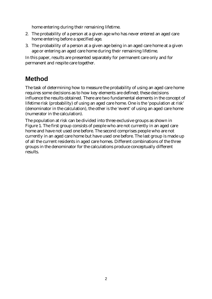home entering during their remaining lifetime.

- 2. The probability of a person at a given age who has never entered an aged care home entering before a specified age.
- 3. The probability of a person at a given age being in an aged care home at a given age or entering an aged care home during their remaining lifetime.

In this paper, results are presented separately for permanent care only and for permanent and respite care together.

## **Method**

The task of determining how to measure the probability of using an aged care home requires some decisions as to how key elements are defined; these decisions influence the results obtained. There are two fundamental elements in the concept of lifetime risk (probability) of using an aged care home. One is the 'population at risk' (denominator in the calculation), the other is the 'event' of using an aged care home (numerator in the calculation).

The population at risk can be divided into three exclusive groups as shown in Figure 1. The first group consists of people who are not currently in an aged care home and have not used one before. The second comprises people who are not currently in an aged care home but have used one before. The last group is made up of all the current residents in aged care homes. Different combinations of the three groups in the denominator for the calculations produce conceptually different results.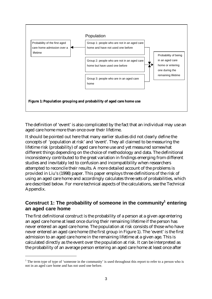

The definition of 'event' is also complicated by the fact that an individual may use an aged care home more than once over their lifetime.

It should be pointed out here that many earlier studies did not clearly define the concepts of 'population at risk' and 'event'. They all claimed to be measuring the lifetime risk (probability) of aged care home use and yet measured somewhat different things depending on the choice of methodology and data. The definitional inconsistency contributed to the great variation in findings emerging from different studies and inevitably led to confusion and incompatibility when researchers attempted to reconcile their results. A more detailed account of the problems is provided in Liu's (1998) paper. This paper employs three definitions of the risk of using an aged care home and accordingly calculates three sets of probabilities, which are described below. For more technical aspects of the calculations, see the Technical Appendix.

### **Construct 1: The probability of someone in the community<sup>1</sup> entering an aged care home**

The first definitional construct is the probability of a person at a given age entering an aged care home at least once during their remaining lifetime if the person has never entered an aged care home. The population at risk consists of those who have never entered an aged care home (the first group in Figure 1). The 'event' is the first admission to an aged care home in the remaining lifetime at a given age. This is calculated directly as the event over the population at risk. It can be interpreted as the probability of an average person entering an aged care home at least once after

 $\overline{a}$ 

<sup>&</sup>lt;sup>1</sup> The term type of type of 'someone in the community' is used throughout this report to refer to a person who is not in an aged care home and has not used one before.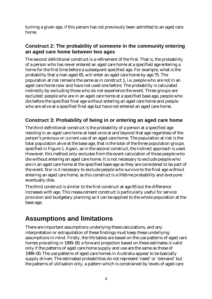turning a given age, if this person has not previously been admitted to an aged care home.

### **Construct 2: The probability of someone in the community entering an aged care home between two ages**

The second definitional construct is a refinement of the first. That is, the probability of a person who has never entered an aged care home at a specified age entering a home for the first time before a subsequent specified age. For example, what is the probability that a man aged 65, will enter an aged care home by age 75. The population at risk remains the same as in construct 1, i.e. people who are not in an aged care home now and have not used one before. The probability is calculated indirectly by excluding those who do not experience the event. Three groups are excluded: people who are in an aged care home at a specified base age, people who die before the specified final age without entering an aged care home and people who are alive at a specified final age but have not entered an aged care home.

## **Construct 3: Probability of being in or entering an aged care home**

The third definitional construct is the probability of a person at a specified age residing in an aged care home at least once at and beyond that age regardless of the person's previous or current use of an aged care home. The population at risk is the total population alive at the base age, that is the total of the three population groups specified in Figure 1. Again, as in the second construct, the indirect approach is used. However, this method only excludes from the event calculation of those people who die without entering an aged care home. It is not necessary to exclude people who are in an aged care home at the specified base age as they are considered to be part of the event. Nor is it necessary to exclude people who survive to the final age without entering an aged care home, as this construct is a lifetime probability and everyone eventually dies.

The third construct is similar to the first construct at age 65 but the difference increases with age. This measurement construct is particularly useful for service provision and budgetary planning as it can be applied to the whole population at the base age.

# **Assumptions and limitations**

There are important assumptions underlying these calculations, and any interpretation or extrapolation of these findings must keep these underlying assumptions in mind. Firstly, the life tables are based on the use patterns of aged care homes prevailing in 1999–00; a forward projection based on these estimates is valid only if the patterns of aged care home supply and use are the same as those of 1999–00. The use patterns of aged care homes in Australia appear to be basically supply driven. The estimated probabilities do not represent 'need' or 'demand' but the patterns of utilisation only, a pattern which is constrained by levels of aged care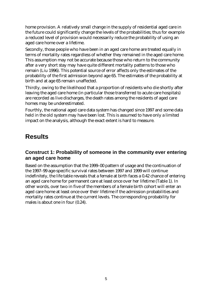home provision. A relatively small change in the supply of residential aged care in the future could significantly change the levels of the probabilities; thus for example a reduced level of provision would necessarily reduce the probability of using an aged care home over a lifetime.

Secondly, those people who have been in an aged care home are treated equally in terms of mortality rates regardless of whether they remained in the aged care home. This assumption may not be accurate because those who return to the community after a very short stay may have quite different mortality patterns to those who remain (Liu 1996). This potential source of error affects only the estimates of the probability of the first admission beyond age 65. The estimates of the probability at birth and at age 65 remain unaffected.

Thirdly, owing to the likelihood that a proportion of residents who die shortly after leaving the aged care home (in particular those transferred to acute care hospitals) are recorded as live discharges, the death rates among the residents of aged care homes may be underestimated.

Fourthly, the national aged care data system has changed since 1997 and some data held in the old system may have been lost. This is assumed to have only a limited impact on the analysis, although the exact extent is hard to measure.

## **Results**

### **Construct 1: Probability of someone in the community ever entering an aged care home**

Based on the assumption that the 1999–00 pattern of usage and the continuation of the 1997–99 age-specific survival rates between 1997 and 1999 will continue indefinitely, the life table reveals that a female at birth faces a 0.42 chance of entering an aged care home for permanent care at least once over her lifetime (Table 1). In other words, over two in five of the members of a female birth cohort will enter an aged care home at least once over their lifetime if the admission probabilities and mortality rates continue at the current levels. The corresponding probability for males is about one in four (0.24).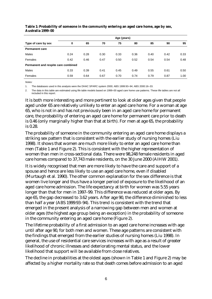|                                     | Age (years) |      |      |      |      |      |      |      |  |  |
|-------------------------------------|-------------|------|------|------|------|------|------|------|--|--|
| Type of care by sex                 | $\bf{0}$    | 65   | 70   | 75   | 80   | 85   | 90   | 95   |  |  |
| <b>Permanent care</b>               |             |      |      |      |      |      |      |      |  |  |
| <b>Males</b>                        | 0.24        | 0.28 | 0.30 | 0.33 | 0.36 | 0.40 | 0.42 | 0.33 |  |  |
| Females                             | 0.42        | 0.46 | 0.47 | 0.50 | 0.52 | 0.54 | 0.54 | 0.48 |  |  |
| Permanent and respite care combined |             |      |      |      |      |      |      |      |  |  |
| <b>Males</b>                        | 0.33        | 0.39 | 0.41 | 0.45 | 0.49 | 0.55 | 0.61 | 0.50 |  |  |
| Females                             | 0.59        | 0.64 | 0.67 | 0.70 | 0.74 | 0.79 | 0.87 | 1.00 |  |  |

#### **Table 1: Probability of someone in the community entering an aged care home, age by sex, Australia 1999–00**

*Notes:*

1. The databases used in this analysis were the DHAC SPARC system 2000; ABS 1999:93–94; ABS 2000:16–33.

2. The data in this table are estimated using life table models based on 1999–00 aged care home use patterns. These life tables are not all included in this report.

It is both more interesting and more pertinent to look at older ages given that people aged under 65 are relatively unlikely to enter an aged care home. For a woman at age 65, who is not in and has not previously been in an aged care home for permanent care, the probability of entering an aged care home for permanent care prior to death is 0.46 (only marginally higher than that at birth). For men at age 65, the probability is 0.28.

The probability of someone in the community entering an aged care home displays a striking sex pattern that is consistent with the earlier study of nursing homes (Liu 1998). It shows that women are much more likely to enter an aged care home than men (Table 1 and Figure 2). This is consistent with the higher representation of women than men in cross-sectional data. There were 98,248 female residents in aged care homes compared to 37,743 male residents, on the 30 June 2000 (AIHW 2001).

It is widely recognised that men are more likely to have the care and support of a spouse and hence are less likely to use an aged care home, even if disabled (Murtaugh et al. 1990). The other common explanation for the sex difference is that women live longer and thus have a longer period of exposure to the likelihood of an aged care home admission. The life expectancy at birth for women was 5.55 years longer than that for men in 1997–99. This difference was reduced at older ages. By age 65, the gap decreased to 3.62 years. After age 90, the difference diminished to less than half a year (ABS 1999:93–94). This trend is consistent with the trend that emerged in the present analysis of a narrowing gap between men and women at older ages (the highest age group being an exception) in the probability of someone in the community entering an aged care home (Figure 2).

The lifetime probability of a first admission to an aged care home increases with age until after age 90, for both men and women. These age patterns are consistent with the findings that emerged from the earlier studies of nursing homes (Liu 1998). In general, the use of residential care services increases with age as a result of greater likelihood of chronic illnesses and deteriorating mental status, and the lower likelihood that support will be available from close relatives.

The decline in probabilities at the oldest ages (shown in Table 1 and Figure 2) may be affected by a higher mortality rate so that death comes before admission to an aged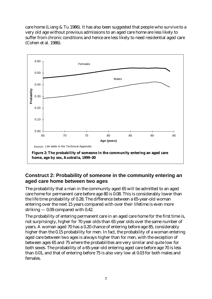care home (Liang & Tu 1986). It has also been suggested that people who survive to a very old age without previous admissions to an aged care home are less likely to suffer from chronic conditions and hence are less likely to need residential aged care (Cohen et al. 1986).



### **Construct 2: Probability of someone in the community entering an aged care home between two ages**

The probability that a man in the community aged 65 will be admitted to an aged care home for permanent care before age 80 is 0.08. This is considerably lower than the life time probability of 0.28. The difference between a 65-year-old woman entering over the next 15 years compared with over their lifetime is even more striking — 0.09 compared with 0.42.

The probability of entering permanent care in an aged care home for the first time is, not surprisingly, higher for 70 year olds than 65 year olds over the same number of years. A woman aged 70 has a 0.20 chance of entering before age 85, considerably higher than the 0.15 probability for men. In fact, the probability of a woman entering aged care between two ages is always higher than for men, with the exception of between ages 65 and 75 where the probabilities are very similar and quite low for both sexes. The probability of a 65-year-old entering aged care before age 70 is less than 0.01, and that of entering before 75 is also very low at 0.03 for both males and females.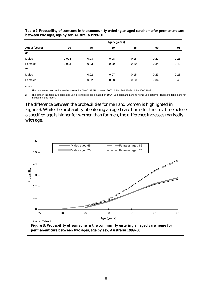|               |       | Age y (years) |      |      |      |      |  |  |  |  |  |
|---------------|-------|---------------|------|------|------|------|--|--|--|--|--|
| Age x (years) | 70    | 75            | 80   | 85   | 90   | 95   |  |  |  |  |  |
| 65            |       |               |      |      |      |      |  |  |  |  |  |
| Males         | 0.004 | 0.03          | 0.08 | 0.15 | 0.22 | 0.26 |  |  |  |  |  |
| Females       | 0.003 | 0.03          | 0.09 | 0.20 | 0.34 | 0.42 |  |  |  |  |  |
| 70            |       |               |      |      |      |      |  |  |  |  |  |
| Males         |       | 0.02          | 0.07 | 0.15 | 0.23 | 0.28 |  |  |  |  |  |
| Females       |       | 0.02          | 0.08 | 0.20 | 0.34 | 0.43 |  |  |  |  |  |

**Table 2: Probability of someone in the community entering an aged care home for permanent care between two ages, age by sex, Australia 1999–00**

*Notes:*

1. The databases used in this analysis were the DHAC SPARC system 2000; ABS 1999:93–94; ABS 2000:16–33.

2. The data in this table are estimated using life table models based on 1994–95 hostel and nursing home use patterns. These life tables are not included in this report.

The difference between the probabilities for men and women is highlighted in Figure 3. While the probability of entering an aged care home for the first time before a specified age is higher for women than for men, the difference increases markedly with age.

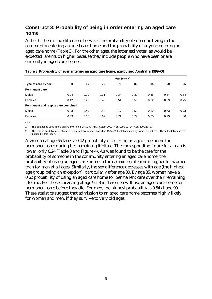### **Construct 3: Probability of being in order entering an aged care home**

At birth, there is no difference between the probability of someone living in the community entering an aged care home and the probability of anyone entering an aged care home (Table 3). For the other ages, the latter estimates, as would be expected, are much higher because they include people who have been or are currently in aged care homes.

|                                     | Age (years) |      |      |      |      |      |      |      |  |  |
|-------------------------------------|-------------|------|------|------|------|------|------|------|--|--|
| Type of care by sex                 | 0           | 65   | 70   | 75   | 80   | 85   | 90   | 95   |  |  |
| <b>Permanent care</b>               |             |      |      |      |      |      |      |      |  |  |
| <b>Males</b>                        | 0.24        | 0.29 | 0.31 | 0.34 | 0.39 | 0.46 | 0.54 | 0.54 |  |  |
| Females                             | 0.42        | 0.46 | 0.48 | 0.51 | 0.56 | 0.62 | 0.69 | 0.75 |  |  |
| Permanent and respite care combined |             |      |      |      |      |      |      |      |  |  |
| <b>Males</b>                        | 0.33        | 0.40 | 0.42 | 0.47 | 0.53 | 0.62 | 0.73 | 0.73 |  |  |
| Females                             | 0.59        | 0.65 | 0.67 | 0.71 | 0.77 | 0.85 | 0.93 | 1.00 |  |  |

#### **Table 3: Probability of ever entering an aged care home, age by sex, Australia 1999–00**

*Notes*

1. The databases used in this analysis were the DHAC SPARC system 2000; ABS 1999:93–94; ABS 2000:16–33.

2. The data in this table are estimated using life table models based on 1994–95 hostel and nursing home use patterns. These life tables are not included in this report.

A woman at age 65 faces a 0.42 probability of entering an aged care home for permanent care during her remaining lifetime. The corresponding figure for a man is lower, only 0.24 (Table 3 and Figure 4). As was found to be the case for the probability of someone in the community entering an aged care home, the probability of using an aged care home in the remaining lifetime is higher for women than for men at all ages. Similarly, the sex difference decreases with age (the highest age group being an exception), particularly after age 80. By age 85, women have a 0.62 probability of using an aged care home for permanent care over their remaining lifetime. For those surviving at age 95, 3 in 4 women will use an aged care home for permanent care before they die. For men, the highest probability is 0.54 at age 90. These statistics suggest that admission to an aged care home becomes highly likely for women and men, if they survive to very old ages.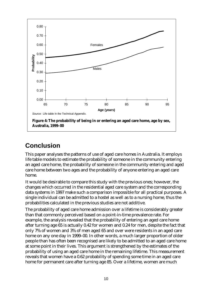

## **Conclusion**

This paper analyses the patterns of use of aged care homes in Australia. It employs life table models to estimate the probability of someone in the community entering an aged care home, the probability of someone in the community entering and aged care home between two ages and the probability of anyone entering an aged care home.

It would be desirable to compare this study with the previous ones; however, the changes which occurred in the residential aged care system and the corresponding data systems in 1997 make such a comparison impossible for all practical purposes. A single individual can be admitted to a hostel as well as to a nursing home, thus the probabilities calculated in the previous studies are not additive.

The probability of aged care home admission over a lifetime is considerably greater than that commonly perceived based on a point-in-time prevalence rate. For example, the analysis revealed that the probability of entering an aged care home after turning age 65 is actually 0.42 for women and 0.24 for men, despite the fact that only 7% of women and 3% of men aged 65 and over were residents in an aged care home on any one day in 1999–00. In other words, a much larger proportion of older people than has often been recognised are likely to be admitted to an aged care home at some point in their lives. This argument is strengthened by the estimates of the probability of using an aged care home in the remaining lifetime. This measurement reveals that women have a 0.62 probability of spending some time in an aged care home for permanent care after turning age 85. Over a lifetime, women are much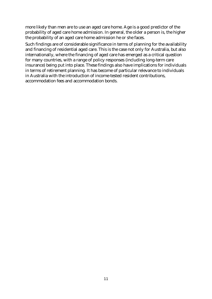more likely than men are to use an aged care home. Age is a good predictor of the probability of aged care home admission. In general, the older a person is, the higher the probability of an aged care home admission he or she faces.

Such findings are of considerable significance in terms of planning for the availability and financing of residential aged care. This is the case not only for Australia, but also internationally, where the financing of aged care has emerged as a critical question for many countries, with a range of policy responses (including long-term care insurance) being put into place. These findings also have implications for individuals in terms of retirement planning. It has become of particular relevance to individuals in Australia with the introduction of income-tested resident contributions, accommodation fees and accommodation bonds.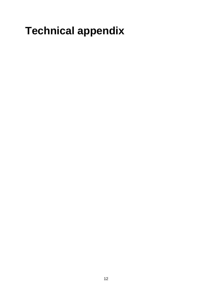# **Technical appendix**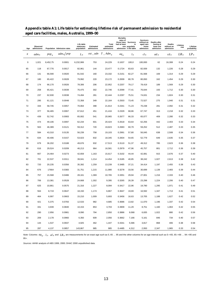| Age                        | Observed<br>admissions |          | Population Admission rates | Life table<br>stationary<br>population | Estimated<br>admissions | Total<br>estimated<br>admissions | <b>Mortality</b><br>rates of<br>had at least | those have Survivors<br>in<br>one populatio<br>admission n life table | <b>Survivors</b><br>without an<br>aged care<br>home<br>admission | Deaths after<br>having at<br>least one<br>admission | Deaths<br>without an<br>admission | Lifetime<br>risk | Lifetime<br>probability |
|----------------------------|------------------------|----------|----------------------------|----------------------------------------|-------------------------|----------------------------------|----------------------------------------------|-----------------------------------------------------------------------|------------------------------------------------------------------|-----------------------------------------------------|-----------------------------------|------------------|-------------------------|
| $\boldsymbol{\mathcal{X}}$ | $adm_x$                | $pop_x$  | $\frac{adm_x}{pop}$        | $L_x$                                  |                         | $est\_adn$ $T\_Adm_x$            | $aq_x$                                       | $l_x$                                                                 | $cl_x$                                                           | $ad_x$                                              | $cd_x$                            | $LR_x$           | $LP_x$                  |
| $\pmb{0}$                  | 1,021                  | 8,452,75 | 0.0001                     | 6,232,906                              | 753                     | 24,229                           | 0.1637                                       | 100,0                                                                 | 100,000                                                          | 62                                                  | 16,308                            | 0.24             | 0.24                    |
| 65                         | 118                    | 67,776   | 0.0017                     | 82,961                                 | 144                     | 23,477                           | 0.1724                                       | 83,63                                                                 | 82,939                                                           | 132                                                 | 1,226                             | 0.28             | 0.29                    |
| 66                         | 131                    | 66,590   | 0.0020                     | 81,542                                 | 160                     | 23,332                           | 0.2151                                       | 82,27                                                                 | 81,568                                                           | 169                                                 | 1,314                             | 0.29             | 0.29                    |
| 67                         | 180                    | 65,422   | 0.0028                     | 79,992                                 | 220                     | 23,172                           | 0.2009                                       | 80,78                                                                 | 80,093                                                           | 162                                                 | 1,454                             | 0.29             | 0.30                    |
| 68                         | 174                    | 66,170   | 0.0026                     | 78,306                                 | 206                     | 22,952                           | 0.2207                                       | 79,17                                                                 | 78,419                                                           | 189                                                 | 1,569                             | 0.29             | 0.30                    |
| 69                         | 258                    | 65,421   | 0.0039                     | 76,475                                 | 302                     | 22,746                           | 0.2099                                       | 77,41                                                                 | 76,644                                                           | 193                                                 | 1,712                             | 0.30             | 0.30                    |
| 70                         | 237                    | 62,930   | 0.0038                     | 74,494                                 | 281                     | 22,444                           | 0.2297                                       | 75,51                                                                 | 74,631                                                           | 234                                                 | 1,824                             | 0.30             | 0.31                    |
| 71                         | 295                    | 61,121   | 0.0048                     | 72,358                                 | 349                     | 22,164                           | 0.2503                                       | 73,45                                                                 | 72,527                                                           | 275                                                 | 1,940                             | 0.31             | 0.31                    |
| 72                         | 334                    | 58,745   | 0.0057                     | 70,064                                 | 398                     | 21,814                           | 0.2341                                       | 71,23                                                                 | 70,238                                                           | 281                                                 | 2,092                             | 0.31             | 0.32                    |
| 73                         | 377                    | 56,465   | 0.0067                     | 67,612                                 | 451                     | 21,416                           | 0.2329                                       | 68,86                                                                 | 67,747                                                           | 313                                                 | 2,218                             | 0.32             | 0.33                    |
| 74                         | 439                    | 52,742   | 0.0083                     | 65,002                                 | 541                     | 20,965                           | 0.2677                                       | 66,33                                                                 | 65,077                                                           | 409                                                 | 2,280                             | 0.32             | 0.33                    |
| 75                         | 474                    | 49,106   | 0.0097                     | 62,234                                 | 601                     | 20,424                           | 0.2618                                       | 63,64                                                                 | 62,256                                                           | 442                                                 | 2,403                             | 0.33             | 0.34                    |
| 76                         | 563                    | 46,389   | 0.0121                     | 59,312                                 | 720                     | 19,823                           | 0.2683                                       | 60,79                                                                 | 59,252                                                           | 512                                                 | 2,487                             | 0.33             | 0.35                    |
| 77                         | 584                    | 43,310   | 0.0135                     | 56,239                                 | 758                     | 19,103                           | 0.2991                                       | 57,80                                                                 | 56,045                                                           | 638                                                 | 2,508                             | 0.34             | 0.36                    |
| 78                         | 634                    | 40,406   | 0.0157                     | 53,023                                 | 832                     | 18,345                           | 0.2834                                       | 54,65                                                                 | 52,779                                                           | 649                                                 | 2,635                             | 0.35             | 0.37                    |
| 79                         | 679                    | 36,202   | 0.0188                     | 49,676                                 | 932                     | 17,513                           | 0.3110                                       | 51,37                                                                 | 49,312                                                           | 785                                                 | 2,623                             | 0.36             | 0.38                    |
| 80                         | 616                    | 29,524   | 0.0209                     | 46,213                                 | 964                     | 16,581                           | 0.2979                                       | 47,96                                                                 | 45,757                                                           | 801                                                 | 2,712                             | 0.36             | 0.39                    |
| 81                         | 667                    | 24,464   | 0.0273                     | 42,659                                 | 1,163                   | 15,617                           | 0.3102                                       | 44,44                                                                 | 42,081                                                           | 915                                                 | 2,676                             | 0.37             | 0.40                    |
| 82                         | 701                    | 22,537   | 0.0311                     | 39,041                                 | 1,214                   | 14,454                           | 0.3185                                       | 40,85                                                                 | 38,242                                                           | 1,027                                               | 2,613                             | 0.38             | 0.42                    |
| 83                         | 720                    | 20,235   | 0.0356                     | 35,392                                 | 1,259                   | 13,239                           | 0.3485                                       | 37,21                                                                 | 34,414                                                           | 1,197                                               | 2,455                             | 0.38             | 0.43                    |
| 84                         | 676                    | 17664    | 0.0383                     | 31,751                                 | 1,215                   | 11,980                           | 0.3278                                       | 33,56                                                                 | 30,699                                                           | 1,139                                               | 2,483                             | 0.39             | 0.44                    |
| 85                         | 757                    | 15,568   | 0.0486                     | 28,161                                 | 1,369                   | 10,765                           | 0.3351                                       | 29,94                                                                 | 27,001                                                           | 1,216                                               | 2,333                             | 0.40             | 0.46                    |
| 86                         | 706                    | 13,381   | 0.0528                     | 24,668                                 | 1,302                   | 9,395                            | 0.3265                                       | 26,39                                                                 | 23,298                                                           | 1,224                                               | 2,206                             | 0.40             | 0.47                    |
| 87                         | 625                    | 10,861   | 0.0575                     | 21,316                                 | 1,227                   | 8,094                            | 0.3417                                       | 22,96                                                                 | 19,790                                                           | 1,295                                               | 1,971                             | 0.41             | 0.49                    |
| 88                         | 564                    | 8,719    | 0.0647                     | 18,150                                 | 1,174                   | 6,867                            | 0.3647                                       | 19,69                                                                 | 16,592                                                           | 1,347                                               | 1,713                             | 0.41             | 0.51                    |
| 89                         | 464                    | 6,997    | 0.0663                     | 15,210                                 | 1,009                   | 5,693                            | 0.3456                                       | 16,63                                                                 | 13,705                                                           | 1,188                                               | 1,627                             | 0.42             | 0.52                    |
| 90                         | 421                    | 5,375    | 0.0783                     | 12,533                                 | 982                     | 4,685                            | 0.3686                                       | 13,82                                                                 | 11,070                                                           | 1,196                                               | 1,337                             | 0.42             | 0.54                    |
| 91                         | 331                    | 3,939    | 0.0840                     | 10,153                                 | 853                     | 3,703                            | 0.3909                                       | 11,29                                                                 | 8,751                                                            | 1,160                                               | 1,063                             | 0.42             | 0.55                    |
| 92                         | 290                    | 2,956    | 0.0981                     | 8,090                                  | 794                     | 2,850                            | 0.3886                                       | 9,068                                                                 | 6,835                                                            | 1,022                                               | 880                               | 0.42             | 0.56                    |
| 93                         | 209                    | 2,178    | 0.0960                     | 6,350                                  | 609                     | 2,056                            | 0.3662                                       | 7,166                                                                 | 5,161                                                            | 846                                                 | 734                               | 0.40             | 0.57                    |
| 94                         | 144                    | 1,537    | 0.0937                     | 4,925                                  | 462                     | 1,447                            | 0.4341                                       | 5,586                                                                 | 3,817                                                            | 868                                                 | 406                               | 0.38             | 0.58                    |
| 95                         | 287                    | 4,137    | 0.0857                     | 143,867                                | 985                     | 985                              | 0.4485                                       | 4,312                                                                 | 2,950                                                            | 2,347                                               | 1,965                             | 0.33             | 0.54                    |

#### **Appendix table A1: Life table for estimating lifetime risk of permanent admission to residential aged care facilities, males, Australia, 1999–00**

*Note:* Columns  $aq_x$ ,  $l_x$ ,  $al_x$  and  $LR_x$  are measurements for an exact age such as 0, 65 ... 95 and the other columns for an age interval such as 0–<65, 65–<66 ... 94–<95 and 95+.

*Sources:* AIHW analysis of ABS 1999, 2000; DHAC 2000 unpublished data.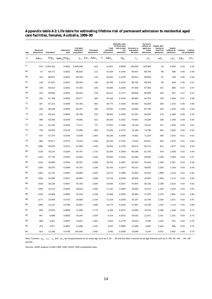#### **Appendix table A2: Life table for estimating lifetime risk of permanent admission to residential aged care facilities, females, Australia, 1999–00**

| Age              | Observed<br>admissions | Population | Admission<br>rates                         | Life table<br>stationary<br>population | <b>Estimated</b><br>admissions | Total<br>estimated<br>admissions | <b>Mortality rates</b><br>of those have<br>had at least<br>one<br>admission | Survivors in<br>population<br>life table | <b>Survivors</b><br>without an<br>aged care<br>home<br>admission | Deaths after<br>having at<br>least one<br>admission | Deaths<br>without an<br>admission | Lifetime | Lifetime<br>risk probability |
|------------------|------------------------|------------|--------------------------------------------|----------------------------------------|--------------------------------|----------------------------------|-----------------------------------------------------------------------------|------------------------------------------|------------------------------------------------------------------|-----------------------------------------------------|-----------------------------------|----------|------------------------------|
| $\boldsymbol{x}$ | Adm <sub>x</sub>       |            | $Pop_x$ Adm <sub>x</sub> /Pop <sub>x</sub> |                                        | $L_x$ Est $\_Adm_x$            | $T_{-}Adm_{x}$                   | $nq_{x}$                                                                    | $l_x$                                    | $rl_x$                                                           | $nd_x$                                              | $cd_x$                            | $LR_x$   | $LP_X$                       |
| 0                | 810                    | 8.253.782  | 0.0001                                     | 6.348.066                              | 623                            | 41.657                           | 0.0959                                                                      | 100.000                                  | 100.000                                                          | 30                                                  | 9.563                             | 0.42     | 0.42                         |
| 65               | 87                     | 69,772     | 0.0012                                     | 90,020                                 | 112                            | 41,034                           | 0.1440                                                                      | 90,407                                   | 89,784                                                           | 98                                                  | 688                               | 0.46     | 0.46                         |
| 66               | 102                    | 68.927     | 0.0015                                     | 89,199                                 | 132                            | 40,921                           | 0.1239                                                                      | 89,621                                   | 88,984                                                           | 87                                                  | 769                               | 0.46     | 0.46                         |
| 67               | 146                    | 67,947     | 0.0021                                     | 88,304                                 | 190                            | 40,789                           | 0.1225                                                                      | 88,765                                   | 88,083                                                           | 95                                                  | 840                               | 0.46     | 0.47                         |
| 68               | 145                    | 69,314     | 0.0021                                     | 87,326                                 | 183                            | 40,600                           | 0.1629                                                                      | 87,830                                   | 87,053                                                           | 141                                                 | 883                               | 0.47     | 0.47                         |
| 69               | 225                    | 69,865     | 0.0032                                     | 86,254                                 | 278                            | 40,417                           | 0.1727                                                                      | 86,806                                   | 85,988                                                           | 165                                                 | 957                               | 0.47     | 0.47                         |
| 70               | 291                    | 67,768     | 0.0043                                     | 85,077                                 | 365                            | 40,139                           | 0.1343                                                                      | 85,684                                   | 84,753                                                           | 150                                                 | 1,084                             | 0.47     | 0.48                         |
| 71               | 307                    | 67,214     | 0.0046                                     | 83,782                                 | 383                            | 39,774                           | 0.1534                                                                      | 84,450                                   | 83,304                                                           | 205                                                 | 1,153                             | 0.48     | 0.48                         |
| 72               | 353                    | 66,248     | 0.0053                                     | 82,357                                 | 439                            | 39,391                           | 0.1618                                                                      | 83,092                                   | 81,768                                                           | 250                                                 | 1,245                             | 0.48     | 0.49                         |
| 73               | 413                    | 65,414     | 0.0063                                     | 80,788                                 | 510                            | 38,952                           | 0.1559                                                                      | 81,597                                   | 80,084                                                           | 276                                                 | 1,368                             | 0.49     | 0.50                         |
| 74               | 498                    | 63,360     | 0.0079                                     | 79,063                                 | 621                            | 38,442                           | 0.1641                                                                      | 79,953                                   | 78,206                                                           | 338                                                 | 1,469                             | 0.49     | 0.50                         |
| 75               | 612                    | 61,204     | 0.0100                                     | 77,171                                 | 772                            | 37,821                           | 0.1766                                                                      | 78,146                                   | 76,115                                                           | 427                                                 | 1,553                             | 0.50     | 0.51                         |
| 76               | 704                    | 59,853     | 0.0118                                     | 75,099                                 | 883                            | 37,049                           | 0.1707                                                                      | 76,166                                   | 73,790                                                           | 481                                                 | 1,683                             | 0.50     | 0.52                         |
| 77               | 837                    | 57,374     | 0.0146                                     | 72,839                                 | 1,063                          | 36,166                           | 0.1648                                                                      | 74,002                                   | 71,224                                                           | 546                                                 | 1,814                             | 0.51     | 0.53                         |
| 78               | 984                    | 54,977     | 0.0179                                     | 70,376                                 | 1,260                          | 35,103                           | 0.1762                                                                      | 71,642                                   | 68,347                                                           | 692                                                 | 1,876                             | 0.51     | 0.54                         |
| 79               | 1082                   | 50,870     | 0.0213                                     | 67,699                                 | 1,440                          | 33,844                           | 0.1769                                                                      | 69,074                                   | 65,211                                                           | 811                                                 | 1,977                             | 0.52     | 0.55                         |
| 80               | 1138                   | 43,124     | 0.0264                                     | 64,797                                 | 1,710                          | 32,404                           | 0.1830                                                                      | 66,286                                   | 61,793                                                           | 979                                                 | 2,038                             | 0.52     | 0.56                         |
| 81               | 1182                   | 37,728     | 0.0313                                     | 61,664                                 | 1,932                          | 30,694                           | 0.1916                                                                      | 63,269                                   | 58,045                                                           | 1,186                                               | 2,064                             | 0.53     | 0.57                         |
| 82               | 1243                   | 36,086     | 0.0344                                     | 58,297                                 | 2,008                          | 28,762                           | 0.1857                                                                      | 60,019                                   | 54,049                                                           | 1,295                                               | 2,187                             | 0.53     | 0.58                         |
| 83               | 1354                   | 33,970     | 0.0399                                     | 54,702                                 | 2,180                          | 26,754                           | 0.1974                                                                      | 56,537                                   | 49,855                                                           | 1,535                                               | 2,169                             | 0.54     | 0.59                         |
| 84               | 1452                   | 31,376     | 0.0463                                     | 50,896                                 | 2,355                          | 24,573                           | 0.1986                                                                      | 52,833                                   | 45,505                                                           | 1,689                                               | 2,216                             | 0.54     | 0.60                         |
| 85               | 1593                   | 29,099     | 0.0547                                     | 46,904                                 | 2,568                          | 22,218                           | 0.2048                                                                      | 48,928                                   | 40,934                                                           | 1,900                                               | 2,174                             | 0.54     | 0.62                         |
| 86               | 1539                   | 26,228     | 0.0587                                     | 42,763                                 | 2,509                          | 19,650                           | 0.2207                                                                      | 44,854                                   | 36,192                                                           | 2,189                                               | 2,010                             | 0.54     | 0.63                         |
| 87               | 1455                   | 22,574     | 0.0645                                     | 38,523                                 | 2,483                          | 17,141                           | 0.2060                                                                      | 40,655                                   | 31,673                                                           | 2,106                                               | 2,165                             | 0.54     | 0.64                         |
| 88               | 1323                   | 19,366     | 0.0683                                     | 34,243                                 | 2,339                          | 14.658                           | 0.2256                                                                      | 36,384                                   | 27,025                                                           | 2,376                                               | 1,901                             | 0.54     | 0.66                         |
| 89               | 1177                   | 16,464     | 0.0715                                     | 29,993                                 | 2,144                          | 12,319                           | 0.2250                                                                      | 32,107                                   | 22,784                                                           | 2,339                                               | 1,871                             | 0.54     | 0.67                         |
| 90               | 1009                   | 13,137     | 0.0768                                     | 25,852                                 | 1,986                          | 10,174                           | 0.2316                                                                      | 27,897                                   | 18,769                                                           | 2,344                                               | 1,713                             | 0.54     | 0.69                         |
| 91               | 809                    | 10,016     | 0.0808                                     | 21,909                                 | 1,770                          | 8,189                            | 0.2471                                                                      | 23,840                                   | 15,070                                                           | 2,385                                               | 1,430                             | 0.54     | 0.71                         |
| 92               | 667                    | 8,088      | 0.0825                                     | 18,245                                 | 1,505                          | 6,419                            | 0.2516                                                                      | 20,025                                   | 11,871                                                           | 2,241                                               | 1,261                             | 0.54     | 0.73                         |
| 93               | 588                    | 6,357      | 0.0925                                     | 14,927                                 | 1,381                          | 4,914                            | 0.2778                                                                      | 16,523                                   | 9,105                                                            | 2,253                                               | 872                               | 0.54     | 0.75                         |
| 94               | 423                    | 4,877      | 0.0867                                     | 12,008                                 | 1,042                          | 3,534                            | 0.2890                                                                      | 13,398                                   | 6,852                                                            | 2,043                                               | 666                               | 0.52     | 0.75                         |
| 95               | 924                    | 13,168     | 0.0788                                     | 245,406                                | 2,492                          | 2,492                            | 0.2938                                                                      | 10,689                                   | 5,144                                                            | 8,037                                               | 2,652                             | 0.48     | 0.75                         |

*Note:* Columns  $aq_x$ ,  $l_x$ ,  $c l_x$  and  $LR_x$  are measurements for an exact age such as 0, 65 ... 95 and the other columns for an age interval such as 0–<65, 65–<66 ... 94–<95 and 95+.

*Sources:* AIHW analysis of ABS 1999, 2000; DHAC 2000 unpublished data.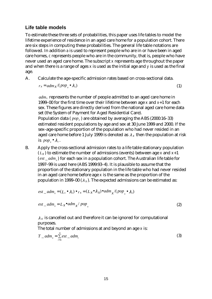### **Life table models**

is *pop*  $\bullet \lambda_x$ .

To estimate these three sets of probabilities, this paper uses life tables to model the lifetime experience of residence in an aged care home for a population cohort. There are six steps in computing these probabilities. The general life table notations are followed. In addition *a* is used to represent people who are in or have been in aged care homes, *c* represents people who are in the community, that is, people who have never used an aged care home. The subscript *x* represents age throughout the paper and when there is a range of ages *x* is used as the initial age and *y* is used as the final age.

A. Calculate the age-specific admission rates based on cross-sectional data.

$$
r_x = \frac{adm_x}{(pop_x \bullet \lambda_x)} \tag{1}
$$

*admx* represents the number of people admitted to an aged care home in 1999–00 for the first time over their lifetime between age *x* and *x*+1 for each sex. These figures are directly derived from the national aged care home data set (the System of Payment for Aged Residential Care). Population data ( $pop<sub>x</sub>$ ) are obtained by averaging the ABS (2000:16–33) estimated resident populations by age and sex at 30 June 1999 and 2000. If the sex–age-specific proportion of the population who had never resided in an aged care home before 1 July 1999 is denoted as  $\lambda_x$  then the population at risk

B. Apply the cross-sectional admission rates to a life table stationary population  $(L_x)$  to estimate the number of admissions (events) between age *x* and  $x+1$ ( $est\_adm$ <sub>r</sub>) for each sex in a population cohort. The Australian life table for 1997–99 is used here (ABS 1999:93–4). It is plausible to assume that the proportion of the stationary population in the life table who had never resided in an aged care home before age *x* is the same as the proportion of the population in 1999–00  $(\lambda_x)$ . The expected admissions can be estimated as:

$$
est\_adm_x = (L_x \bullet \lambda_x) \bullet r_x = (L_x \bullet \lambda_x) \bullet adm_x / (pop_x \bullet \lambda_x)
$$

$$
est\_adm_x = L_x \bullet adm_x / pop_x \tag{2}
$$

 $\lambda$ <sub>x</sub> is cancelled out and therefore it can be ignored for computational purposes.

The total number of admissions at and beyond an age *x* is:

$$
T_{-}adm_{x} = \sum_{i=x}^{\infty} est_{-}adm_{i}
$$
 (3)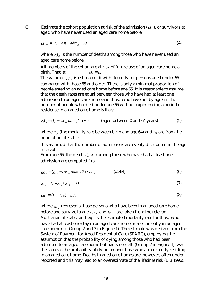C. Estimate the cohort population at risk of the admission  $(cl_x)$ , or survivors at age *x* who have never used an aged care home before.

$$
cl_{x+1} = cl_x - est\_adm_x - cd_x \tag{4}
$$

where  $cd_x$  is the number of deaths among those who have never used an aged care home before**.**

All members of the cohort are at risk of future use of an aged care home at  $\phi$  birth. That is:  $\phi = l_0 = l_0$ 

The value of  $_{cd}$  *x* is estimated di with fferently for persons aged under 65 compared with those 65 and older. There is only a minimal proportion of people entering an aged care home before age 65. It is reasonable to assume that the death rates are equal between those who have had at least one admission to an aged care home and those who have not by age 65. The number of people who died under age 65 without experiencing a period of residence in an aged care home is thus:

$$
cd_o = (l_o - est\_adm_o/2) \bullet q_o
$$
 (aged between 0 and 64 years) (5)

where  $q_o$  (the mortality rate between birth and age 64) and  $l_o$  are from the population life table.

It is assumed that the number of admissions are evenly distributed in the age interval.

From age 65, the deaths  $(a_d, b_x)$  among those who have had at least one admission are computed first.

$$
ad_x = (al_x + est\_adm_x/2) \bullet aq_x \qquad (x > 64)
$$
 (6)

$$
al_x = l_x - cl_x (al_o = 0)
$$
\n<sup>(7)</sup>

$$
cd_x = (l_x - l_{x+1}) - ad_x \tag{8}
$$

where  $al_x$  represents those persons who have been in an aged care home before and survive to age  $x$ ,  $l_x$  and  $l_{x+1}$  are taken from the relevant Australian life table and  $aq_x$  is the estimated mortality rate for those who have had at least one stay in an aged care home or are currently in an aged care home (i.e. Group 2 and 3 in Figure 1). The estimate was derived from the System of Payment for Aged Residential Care (SPARC), employing the assumption that the probability of dying among those who had been admitted to an aged care home but had since left (Group 2 in Figure 1), was the same as the probability of dying among those who are currently residing in an aged care home. Deaths in aged care homes are, however, often underreported and this may lead to an overestimate of the lifetime risk (Liu 1996).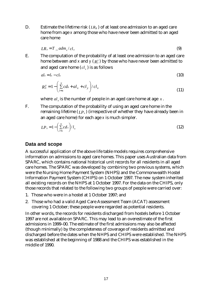D. Estimate the lifetime risk  $(LR_x)$  of at least one admission to an aged care home from age *x* among those who have never been admitted to an aged care home

$$
LR_x = T \t{a} dm_x / cl_x \t\t(9)
$$

E. The computation of the probability of at least one admission to an aged care home between and  $x$  and  $y$  (  $\overline{R_{x}^{y}}$  ) by those who have never been admitted to and aged care home  $(cl_{x})$  is as follows

$$
al_x = l_x - c l_x \tag{10}
$$

$$
R_x^y = 1 - \left(\sum_{i=x}^y cdx + a l_x + c l_y\right) / c l_x \tag{11}
$$

where  $al_{\nu}$  is the number of people in an aged care home at age  $\chi$ .

F. The computation of the probability of using an aged care home in the remaining lifetime  $(I.P<sub>x</sub>)$  (irrespective of whether they have already been in an aged care home) for each age *x* is much simpler.

$$
LP_x = 1 - \left(\sum_{i=x}^{\infty} c dx\right) / l_x \tag{12}
$$

#### **Data and scope**

A successful application of the above life table models requires comprehensive information on admissions to aged care homes. This paper uses Australian data from SPARC, which contains national historical unit records for all residents in all aged care homes. The SPARC was developed by combining two previous systems, which were the Nursing Home Payment System (NHPS) and the Commonwealth Hostel Information Payment System (CHIPS) on 1 October 1997. The new system inherited all existing records on the NHPS at 1 October 1997. For the data on the CHIPS, only those records that related to the following two groups of people were carried over:

- 1. Those who were in a hostel at 1 October 1997; and
- 2. Those who had a valid Aged Care Assessment Team (ACAT) assessment covering 1 October; these people were regarded as potential residents.

In other words, the records for residents discharged from hostels before 1 October 1997 are not available on SPARC. This may lead to an overestimate of the first admissions in 1999–00. The estimate of the first admissions may also be affected (though minimally) by the completeness of coverage of residents admitted and discharged before the dates when the NHPS and CHIPS were established. The NHPS was established at the beginning of 1988 and the CHIPS was established in the middle of 1990.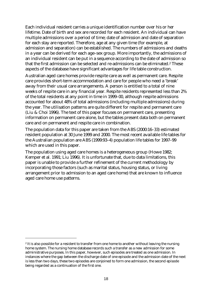Each individual resident carries a unique identification number over his or her lifetime. Date of birth and sex are recorded for each resident. An individual can have multiple admissions over a period of time; date of admission and date of separation for each stay are reported. Therefore, age at any given time (for example, at admission and separation) can be established. The numbers of admissions and deaths in a year can be derived for each age–sex group. More importantly, the admissions of an individual resident can be put in a sequence according to the date of admission so that the first admission can be selected and re-admissions can be eliminated.2 These aspects of the database have significant advantages for life table construction.

Australian aged care homes provide respite care as well as permanent care. Respite care provides short-term accommodation and care for people who need a 'break' away from their usual care arrangements. A person is entitled to a total of nine weeks of respite care in any financial year. Respite residents represented less than 2% of the total residents at any point in time in 1999–00, although respite admissions accounted for about 48% of total admissions (including multiple admissions) during the year. The utilisation patterns are quite different for respite and permanent care (Liu & Choi 1996). The text of this paper focuses on permanent care, presenting information on permanent care alone, but the tables present data both on permanent care and on permanent and respite care in combination.

The population data for this paper are taken from the ABS (2000:16–33) estimated resident population at 30 June 1999 and 2000. The most recent available life tables for the Australian population are ABS (1999:93–4) population life tables for 1997–99 which are used in this paper.

The population using aged care homes is a heterogeneous group (Howe 1982; Kemper et al. 1991; Liu 1996). It is unfortunate that, due to data limitations, this paper is unable to provide a further refinement of the current methodology by incorporating those factors (such as marital status, housing status, or living arrangement prior to admission to an aged care home) that are known to influence aged care home use patterns.

 $\overline{a}$ 

<sup>&</sup>lt;sup>2</sup> It is also possible for a resident to transfer from one home to another without leaving the nursing home system. The nursing home database records such a transfer as a new admission for some administrative purposes. In this paper, however, such episodes are treated as one admission. In instances where the gap between the discharge date of one episode and the admission date of the next is less than two days, these two episodes are conjoined to form one admission, the second episode being regarded as a continuation of the first one.